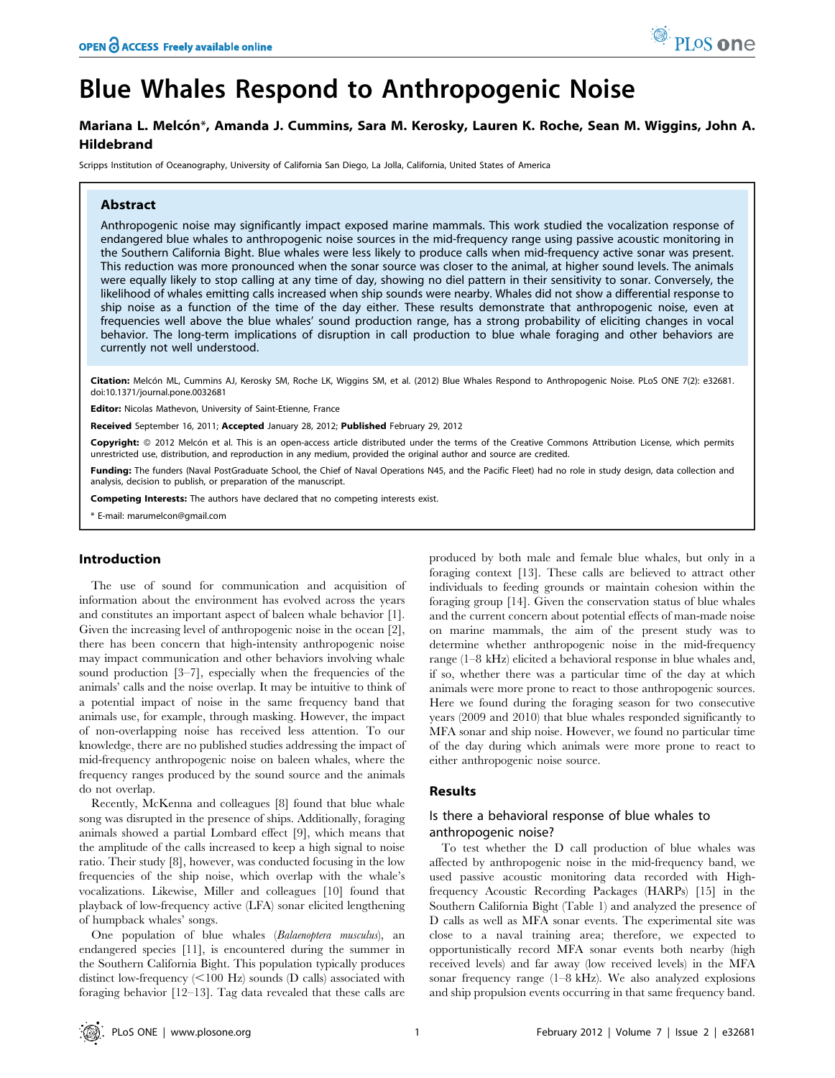# Blue Whales Respond to Anthropogenic Noise

# Mariana L. Melcón\*, Amanda J. Cummins, Sara M. Kerosky, Lauren K. Roche, Sean M. Wiggins, John A. Hildebrand

Scripps Institution of Oceanography, University of California San Diego, La Jolla, California, United States of America

### Abstract

Anthropogenic noise may significantly impact exposed marine mammals. This work studied the vocalization response of endangered blue whales to anthropogenic noise sources in the mid-frequency range using passive acoustic monitoring in the Southern California Bight. Blue whales were less likely to produce calls when mid-frequency active sonar was present. This reduction was more pronounced when the sonar source was closer to the animal, at higher sound levels. The animals were equally likely to stop calling at any time of day, showing no diel pattern in their sensitivity to sonar. Conversely, the likelihood of whales emitting calls increased when ship sounds were nearby. Whales did not show a differential response to ship noise as a function of the time of the day either. These results demonstrate that anthropogenic noise, even at frequencies well above the blue whales' sound production range, has a strong probability of eliciting changes in vocal behavior. The long-term implications of disruption in call production to blue whale foraging and other behaviors are currently not well understood.

Citation: Melcón ML, Cummins AJ, Kerosky SM, Roche LK, Wiggins SM, et al. (2012) Blue Whales Respond to Anthropogenic Noise. PLoS ONE 7(2): e32681. doi:10.1371/journal.pone.0032681

Editor: Nicolas Mathevon, University of Saint-Etienne, France

Received September 16, 2011; Accepted January 28, 2012; Published February 29, 2012

Copyright: © 2012 Melcón et al. This is an open-access article distributed under the terms of the Creative Commons Attribution License, which permits unrestricted use, distribution, and reproduction in any medium, provided the original author and source are credited.

Funding: The funders (Naval PostGraduate School, the Chief of Naval Operations N45, and the Pacific Fleet) had no role in study design, data collection and analysis, decision to publish, or preparation of the manuscript.

Competing Interests: The authors have declared that no competing interests exist.

\* E-mail: marumelcon@gmail.com

## Introduction

The use of sound for communication and acquisition of information about the environment has evolved across the years and constitutes an important aspect of baleen whale behavior [1]. Given the increasing level of anthropogenic noise in the ocean [2], there has been concern that high-intensity anthropogenic noise may impact communication and other behaviors involving whale sound production [3–7], especially when the frequencies of the animals' calls and the noise overlap. It may be intuitive to think of a potential impact of noise in the same frequency band that animals use, for example, through masking. However, the impact of non-overlapping noise has received less attention. To our knowledge, there are no published studies addressing the impact of mid-frequency anthropogenic noise on baleen whales, where the frequency ranges produced by the sound source and the animals do not overlap.

Recently, McKenna and colleagues [8] found that blue whale song was disrupted in the presence of ships. Additionally, foraging animals showed a partial Lombard effect [9], which means that the amplitude of the calls increased to keep a high signal to noise ratio. Their study [8], however, was conducted focusing in the low frequencies of the ship noise, which overlap with the whale's vocalizations. Likewise, Miller and colleagues [10] found that playback of low-frequency active (LFA) sonar elicited lengthening of humpback whales' songs.

One population of blue whales (Balaenoptera musculus), an endangered species [11], is encountered during the summer in the Southern California Bight. This population typically produces distinct low-frequency  $(<100$  Hz) sounds (D calls) associated with foraging behavior [12–13]. Tag data revealed that these calls are produced by both male and female blue whales, but only in a foraging context [13]. These calls are believed to attract other individuals to feeding grounds or maintain cohesion within the foraging group [14]. Given the conservation status of blue whales and the current concern about potential effects of man-made noise on marine mammals, the aim of the present study was to determine whether anthropogenic noise in the mid-frequency range (1–8 kHz) elicited a behavioral response in blue whales and, if so, whether there was a particular time of the day at which animals were more prone to react to those anthropogenic sources. Here we found during the foraging season for two consecutive years (2009 and 2010) that blue whales responded significantly to MFA sonar and ship noise. However, we found no particular time of the day during which animals were more prone to react to either anthropogenic noise source.

## Results

# Is there a behavioral response of blue whales to anthropogenic noise?

To test whether the D call production of blue whales was affected by anthropogenic noise in the mid-frequency band, we used passive acoustic monitoring data recorded with Highfrequency Acoustic Recording Packages (HARPs) [15] in the Southern California Bight (Table 1) and analyzed the presence of D calls as well as MFA sonar events. The experimental site was close to a naval training area; therefore, we expected to opportunistically record MFA sonar events both nearby (high received levels) and far away (low received levels) in the MFA sonar frequency range (1–8 kHz). We also analyzed explosions and ship propulsion events occurring in that same frequency band.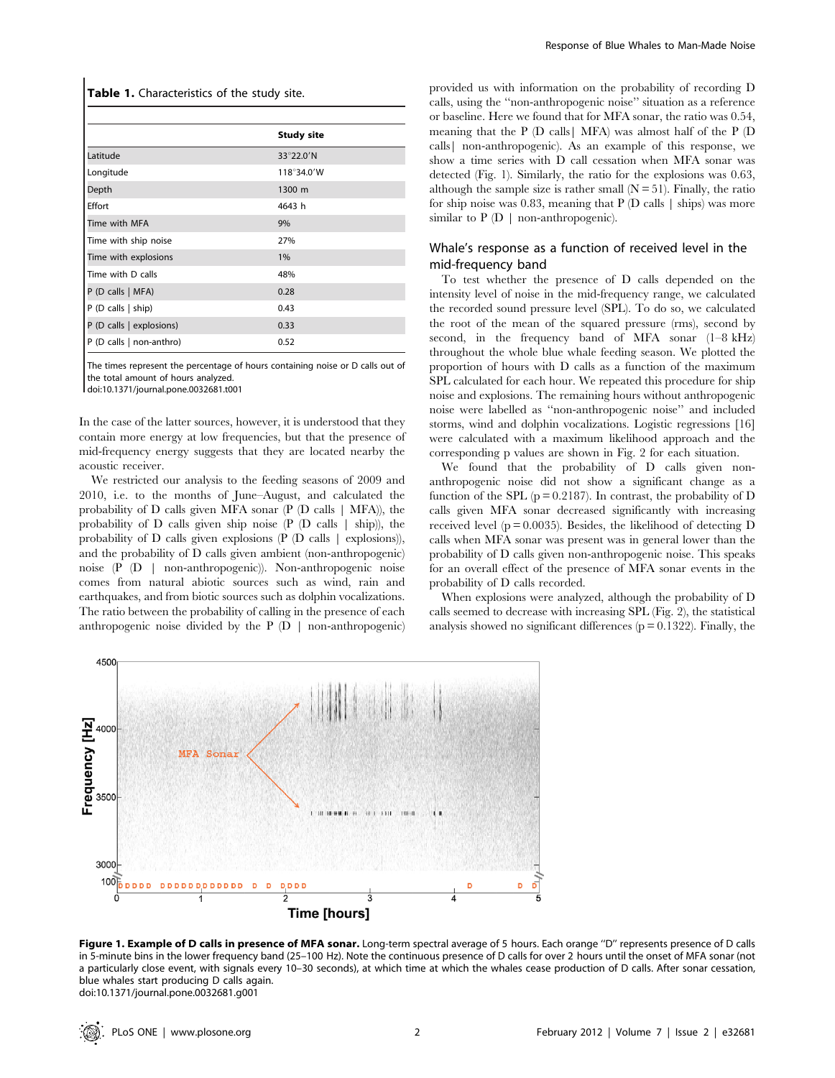| Table 1. Characteristics of the study site. |  |
|---------------------------------------------|--|
|---------------------------------------------|--|

|                          | <b>Study site</b>   |
|--------------------------|---------------------|
| Latitude                 | 33°22.0'N           |
| Longitude                | $118^{\circ}34.0'W$ |
| Depth                    | 1300 m              |
| Effort                   | 4643 h              |
| Time with MFA            | 9%                  |
| Time with ship noise     | 27%                 |
| Time with explosions     | 1%                  |
| Time with D calls        | 48%                 |
| P (D calls   MFA)        | 0.28                |
| $P$ (D calls $ $ ship)   | 0.43                |
| P (D calls   explosions) | 0.33                |
| P (D calls   non-anthro) | 0.52                |

The times represent the percentage of hours containing noise or D calls out of the total amount of hours analyzed.

doi:10.1371/journal.pone.0032681.t001

In the case of the latter sources, however, it is understood that they contain more energy at low frequencies, but that the presence of mid-frequency energy suggests that they are located nearby the acoustic receiver.

We restricted our analysis to the feeding seasons of 2009 and 2010, i.e. to the months of June–August, and calculated the probability of D calls given MFA sonar (P (D calls | MFA)), the probability of D calls given ship noise  $(P \nvert D \nvert \text{ calls } | \nvert \text{ ship})$ , the probability of D calls given explosions (P (D calls | explosions)), and the probability of D calls given ambient (non-anthropogenic) noise (P (D | non-anthropogenic)). Non-anthropogenic noise comes from natural abiotic sources such as wind, rain and earthquakes, and from biotic sources such as dolphin vocalizations. The ratio between the probability of calling in the presence of each anthropogenic noise divided by the  $P(D | non-anthropogenic)$ 

provided us with information on the probability of recording D calls, using the ''non-anthropogenic noise'' situation as a reference or baseline. Here we found that for MFA sonar, the ratio was 0.54, meaning that the P (D calls| MFA) was almost half of the P (D calls| non-anthropogenic). As an example of this response, we show a time series with D call cessation when MFA sonar was detected (Fig. 1). Similarly, the ratio for the explosions was 0.63, although the sample size is rather small  $(N = 51)$ . Finally, the ratio for ship noise was 0.83, meaning that  $P(D)$  calls  $|$  ships) was more similar to  $P(D | non-anthropogenic)$ .

# Whale's response as a function of received level in the mid-frequency band

To test whether the presence of D calls depended on the intensity level of noise in the mid-frequency range, we calculated the recorded sound pressure level (SPL). To do so, we calculated the root of the mean of the squared pressure (rms), second by second, in the frequency band of MFA sonar  $(1-8 \text{ kHz})$ throughout the whole blue whale feeding season. We plotted the proportion of hours with D calls as a function of the maximum SPL calculated for each hour. We repeated this procedure for ship noise and explosions. The remaining hours without anthropogenic noise were labelled as ''non-anthropogenic noise'' and included storms, wind and dolphin vocalizations. Logistic regressions [16] were calculated with a maximum likelihood approach and the corresponding p values are shown in Fig. 2 for each situation.

We found that the probability of D calls given nonanthropogenic noise did not show a significant change as a function of the SPL ( $p = 0.2187$ ). In contrast, the probability of D calls given MFA sonar decreased significantly with increasing received level ( $p = 0.0035$ ). Besides, the likelihood of detecting D calls when MFA sonar was present was in general lower than the probability of D calls given non-anthropogenic noise. This speaks for an overall effect of the presence of MFA sonar events in the probability of D calls recorded.

When explosions were analyzed, although the probability of D calls seemed to decrease with increasing SPL (Fig. 2), the statistical analysis showed no significant differences ( $p = 0.1322$ ). Finally, the



Figure 1. Example of D calls in presence of MFA sonar. Long-term spectral average of 5 hours. Each orange "D" represents presence of D calls in 5-minute bins in the lower frequency band (25–100 Hz). Note the continuous presence of D calls for over 2 hours until the onset of MFA sonar (not a particularly close event, with signals every 10–30 seconds), at which time at which the whales cease production of D calls. After sonar cessation, blue whales start producing D calls again. doi:10.1371/journal.pone.0032681.g001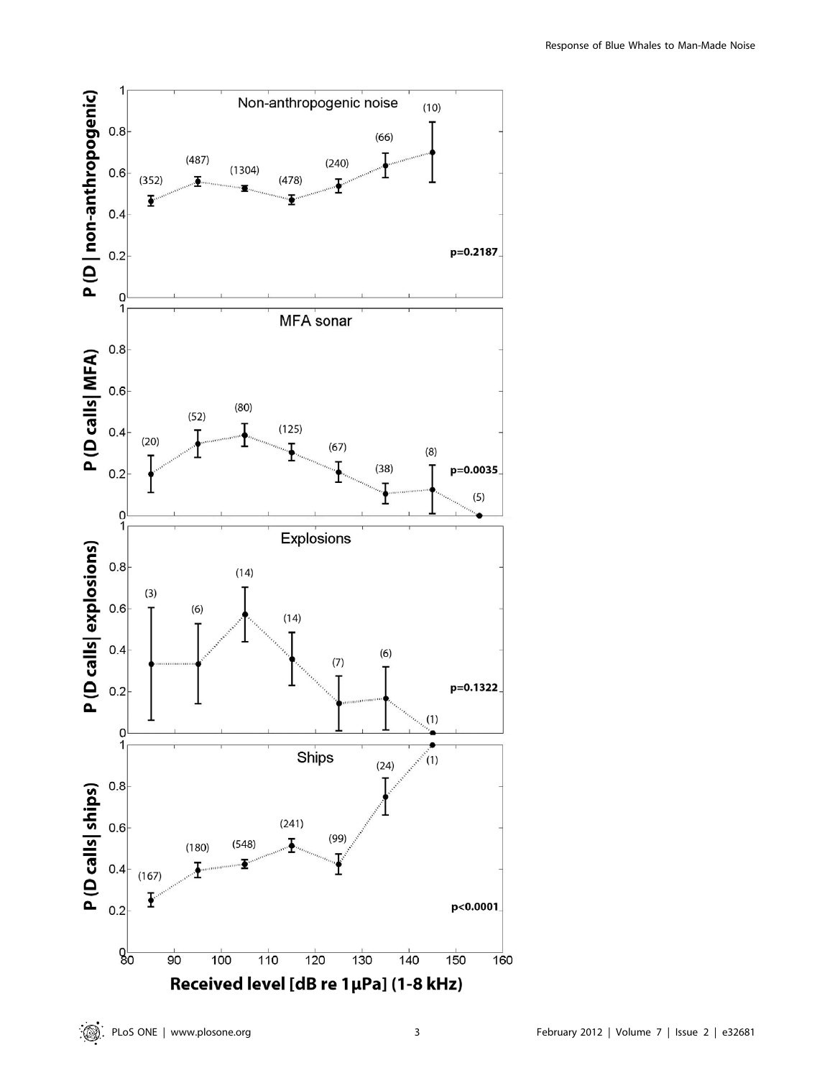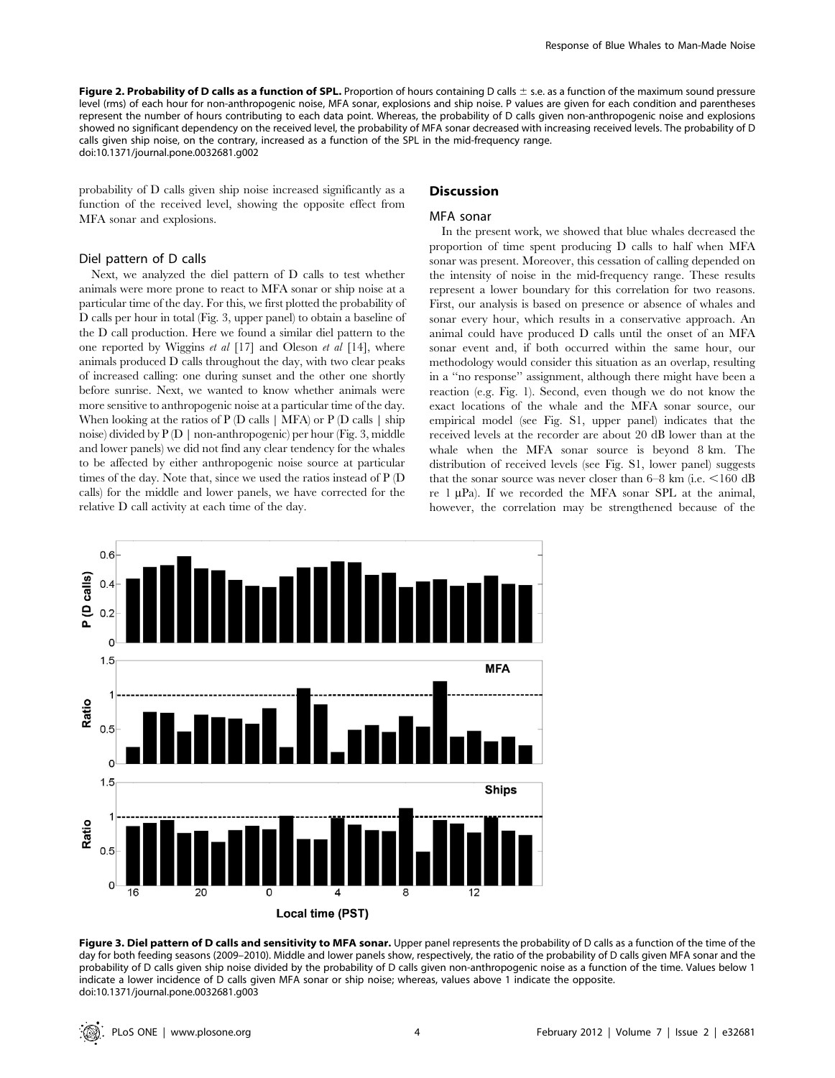Figure 2. Probability of D calls as a function of SPL. Proportion of hours containing D calls  $\pm$  s.e. as a function of the maximum sound pressure level (rms) of each hour for non-anthropogenic noise, MFA sonar, explosions and ship noise. P values are given for each condition and parentheses represent the number of hours contributing to each data point. Whereas, the probability of D calls given non-anthropogenic noise and explosions showed no significant dependency on the received level, the probability of MFA sonar decreased with increasing received levels. The probability of D calls given ship noise, on the contrary, increased as a function of the SPL in the mid-frequency range. doi:10.1371/journal.pone.0032681.g002

probability of D calls given ship noise increased significantly as a function of the received level, showing the opposite effect from MFA sonar and explosions.

## Diel pattern of D calls

Next, we analyzed the diel pattern of D calls to test whether animals were more prone to react to MFA sonar or ship noise at a particular time of the day. For this, we first plotted the probability of D calls per hour in total (Fig. 3, upper panel) to obtain a baseline of the D call production. Here we found a similar diel pattern to the one reported by Wiggins et al [17] and Oleson et al [14], where animals produced D calls throughout the day, with two clear peaks of increased calling: one during sunset and the other one shortly before sunrise. Next, we wanted to know whether animals were more sensitive to anthropogenic noise at a particular time of the day. When looking at the ratios of  $P(D)$  calls | MFA) or  $P(D)$  calls | ship noise) divided by P (D | non-anthropogenic) per hour (Fig. 3, middle and lower panels) we did not find any clear tendency for the whales to be affected by either anthropogenic noise source at particular times of the day. Note that, since we used the ratios instead of P (D calls) for the middle and lower panels, we have corrected for the relative D call activity at each time of the day.

## **Discussion**

## MFA sonar

In the present work, we showed that blue whales decreased the proportion of time spent producing D calls to half when MFA sonar was present. Moreover, this cessation of calling depended on the intensity of noise in the mid-frequency range. These results represent a lower boundary for this correlation for two reasons. First, our analysis is based on presence or absence of whales and sonar every hour, which results in a conservative approach. An animal could have produced D calls until the onset of an MFA sonar event and, if both occurred within the same hour, our methodology would consider this situation as an overlap, resulting in a ''no response'' assignment, although there might have been a reaction (e.g. Fig. 1). Second, even though we do not know the exact locations of the whale and the MFA sonar source, our empirical model (see Fig. S1, upper panel) indicates that the received levels at the recorder are about 20 dB lower than at the whale when the MFA sonar source is beyond 8 km. The distribution of received levels (see Fig. S1, lower panel) suggests that the sonar source was never closer than 6–8 km (i.e.  $<\!\!160$  dB re  $1 \mu Pa$ ). If we recorded the MFA sonar SPL at the animal, however, the correlation may be strengthened because of the



Figure 3. Diel pattern of D calls and sensitivity to MFA sonar. Upper panel represents the probability of D calls as a function of the time of the day for both feeding seasons (2009–2010). Middle and lower panels show, respectively, the ratio of the probability of D calls given MFA sonar and the probability of D calls given ship noise divided by the probability of D calls given non-anthropogenic noise as a function of the time. Values below 1 indicate a lower incidence of D calls given MFA sonar or ship noise; whereas, values above 1 indicate the opposite. doi:10.1371/journal.pone.0032681.g003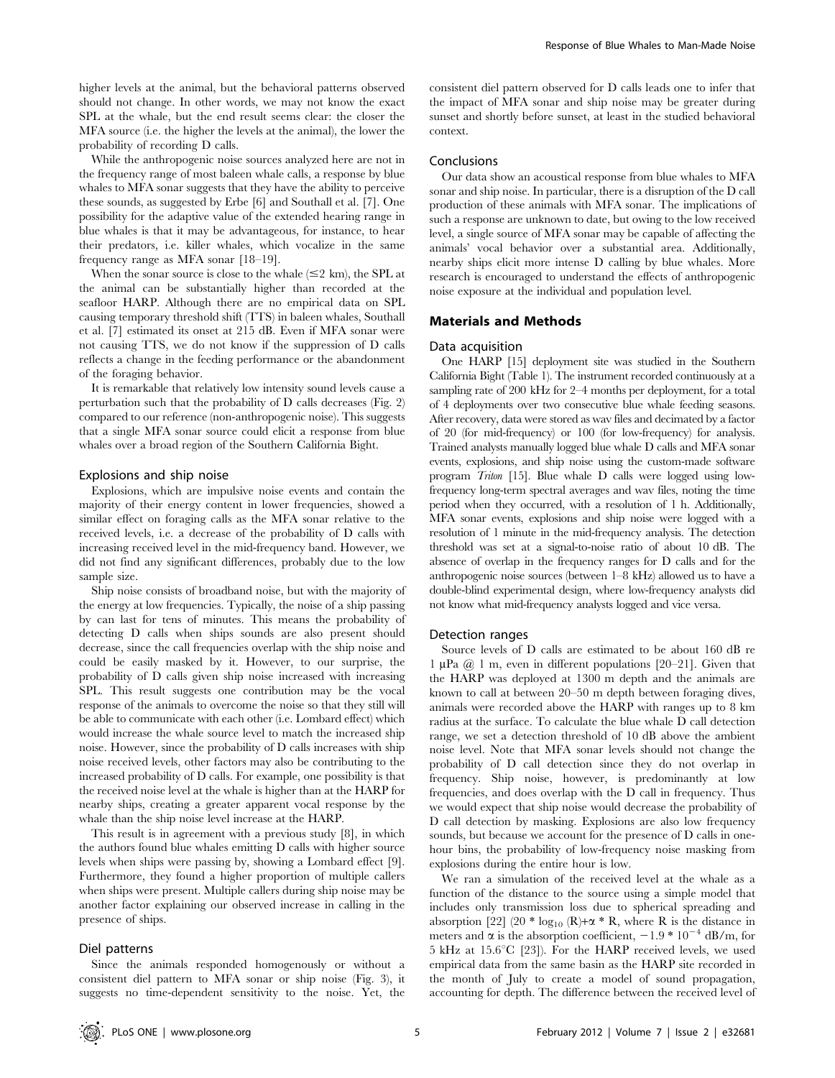higher levels at the animal, but the behavioral patterns observed should not change. In other words, we may not know the exact SPL at the whale, but the end result seems clear: the closer the MFA source (i.e. the higher the levels at the animal), the lower the probability of recording D calls.

While the anthropogenic noise sources analyzed here are not in the frequency range of most baleen whale calls, a response by blue whales to MFA sonar suggests that they have the ability to perceive these sounds, as suggested by Erbe [6] and Southall et al. [7]. One possibility for the adaptive value of the extended hearing range in blue whales is that it may be advantageous, for instance, to hear their predators, i.e. killer whales, which vocalize in the same frequency range as MFA sonar [18–19].

When the sonar source is close to the whale  $(\leq 2 \text{ km})$ , the SPL at the animal can be substantially higher than recorded at the seafloor HARP. Although there are no empirical data on SPL causing temporary threshold shift (TTS) in baleen whales, Southall et al. [7] estimated its onset at 215 dB. Even if MFA sonar were not causing TTS, we do not know if the suppression of D calls reflects a change in the feeding performance or the abandonment of the foraging behavior.

It is remarkable that relatively low intensity sound levels cause a perturbation such that the probability of D calls decreases (Fig. 2) compared to our reference (non-anthropogenic noise). This suggests that a single MFA sonar source could elicit a response from blue whales over a broad region of the Southern California Bight.

#### Explosions and ship noise

Explosions, which are impulsive noise events and contain the majority of their energy content in lower frequencies, showed a similar effect on foraging calls as the MFA sonar relative to the received levels, i.e. a decrease of the probability of D calls with increasing received level in the mid-frequency band. However, we did not find any significant differences, probably due to the low sample size.

Ship noise consists of broadband noise, but with the majority of the energy at low frequencies. Typically, the noise of a ship passing by can last for tens of minutes. This means the probability of detecting D calls when ships sounds are also present should decrease, since the call frequencies overlap with the ship noise and could be easily masked by it. However, to our surprise, the probability of D calls given ship noise increased with increasing SPL. This result suggests one contribution may be the vocal response of the animals to overcome the noise so that they still will be able to communicate with each other (i.e. Lombard effect) which would increase the whale source level to match the increased ship noise. However, since the probability of D calls increases with ship noise received levels, other factors may also be contributing to the increased probability of D calls. For example, one possibility is that the received noise level at the whale is higher than at the HARP for nearby ships, creating a greater apparent vocal response by the whale than the ship noise level increase at the HARP.

This result is in agreement with a previous study [8], in which the authors found blue whales emitting D calls with higher source levels when ships were passing by, showing a Lombard effect [9]. Furthermore, they found a higher proportion of multiple callers when ships were present. Multiple callers during ship noise may be another factor explaining our observed increase in calling in the presence of ships.

#### Diel patterns

Since the animals responded homogenously or without a consistent diel pattern to MFA sonar or ship noise (Fig. 3), it suggests no time-dependent sensitivity to the noise. Yet, the consistent diel pattern observed for D calls leads one to infer that the impact of MFA sonar and ship noise may be greater during sunset and shortly before sunset, at least in the studied behavioral context.

## Conclusions

Our data show an acoustical response from blue whales to MFA sonar and ship noise. In particular, there is a disruption of the D call production of these animals with MFA sonar. The implications of such a response are unknown to date, but owing to the low received level, a single source of MFA sonar may be capable of affecting the animals' vocal behavior over a substantial area. Additionally, nearby ships elicit more intense D calling by blue whales. More research is encouraged to understand the effects of anthropogenic noise exposure at the individual and population level.

#### Materials and Methods

#### Data acquisition

One HARP [15] deployment site was studied in the Southern California Bight (Table 1). The instrument recorded continuously at a sampling rate of 200 kHz for 2–4 months per deployment, for a total of 4 deployments over two consecutive blue whale feeding seasons. After recovery, data were stored as wav files and decimated by a factor of 20 (for mid-frequency) or 100 (for low-frequency) for analysis. Trained analysts manually logged blue whale D calls and MFA sonar events, explosions, and ship noise using the custom-made software program Triton [15]. Blue whale D calls were logged using lowfrequency long-term spectral averages and wav files, noting the time period when they occurred, with a resolution of 1 h. Additionally, MFA sonar events, explosions and ship noise were logged with a resolution of 1 minute in the mid-frequency analysis. The detection threshold was set at a signal-to-noise ratio of about 10 dB. The absence of overlap in the frequency ranges for D calls and for the anthropogenic noise sources (between 1–8 kHz) allowed us to have a double-blind experimental design, where low-frequency analysts did not know what mid-frequency analysts logged and vice versa.

#### Detection ranges

Source levels of D calls are estimated to be about 160 dB re 1  $\mu$ Pa  $\omega$  1 m, even in different populations [20–21]. Given that the HARP was deployed at 1300 m depth and the animals are known to call at between 20–50 m depth between foraging dives, animals were recorded above the HARP with ranges up to 8 km radius at the surface. To calculate the blue whale D call detection range, we set a detection threshold of 10 dB above the ambient noise level. Note that MFA sonar levels should not change the probability of D call detection since they do not overlap in frequency. Ship noise, however, is predominantly at low frequencies, and does overlap with the D call in frequency. Thus we would expect that ship noise would decrease the probability of D call detection by masking. Explosions are also low frequency sounds, but because we account for the presence of D calls in onehour bins, the probability of low-frequency noise masking from explosions during the entire hour is low.

We ran a simulation of the received level at the whale as a function of the distance to the source using a simple model that includes only transmission loss due to spherical spreading and absorption [22] (20  $*$  log<sub>10</sub> (R)+ $\alpha$   $*$  R, where R is the distance in meters and  $\alpha$  is the absorption coefficient,  $-1.9 * 10^{-4}$  dB/m, for 5 kHz at 15.6 $\degree$ C [23]). For the HARP received levels, we used empirical data from the same basin as the HARP site recorded in the month of July to create a model of sound propagation, accounting for depth. The difference between the received level of